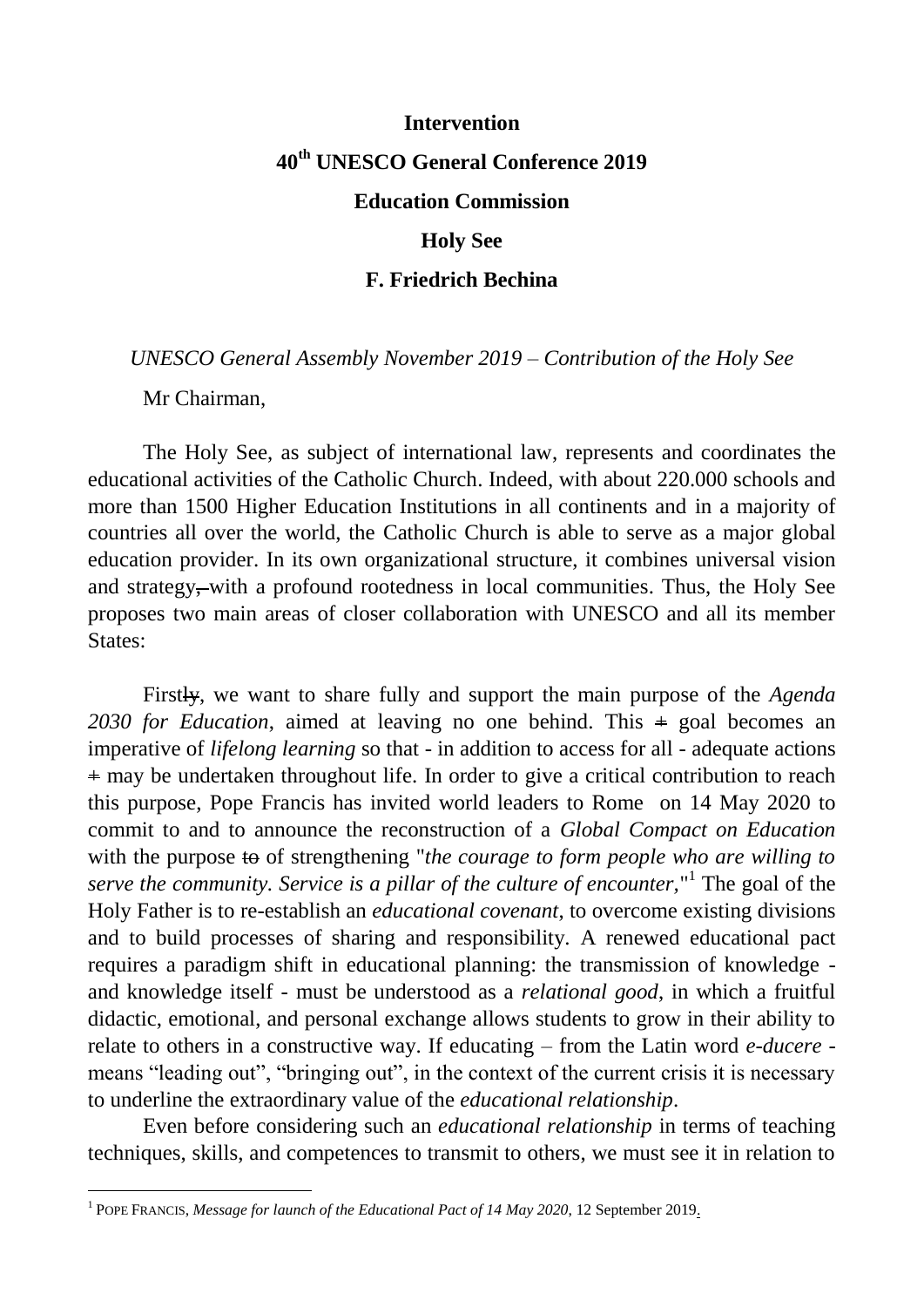#### **Intervention**

# **40th UNESCO General Conference 2019**

## **Education Commission**

#### **Holy See**

## **F. Friedrich Bechina**

*UNESCO General Assembly November 2019 – Contribution of the Holy See*

Mr Chairman,

-

The Holy See, as subject of international law, represents and coordinates the educational activities of the Catholic Church. Indeed, with about 220.000 schools and more than 1500 Higher Education Institutions in all continents and in a majority of countries all over the world, the Catholic Church is able to serve as a major global education provider. In its own organizational structure, it combines universal vision and strategy, with a profound rootedness in local communities. Thus, the Holy See proposes two main areas of closer collaboration with UNESCO and all its member States:

Firstly, we want to share fully and support the main purpose of the *Agenda 2030 for Education*, aimed at leaving no one behind. This + goal becomes an imperative of *lifelong learning* so that - in addition to access for all - adequate actions + may be undertaken throughout life. In order to give a critical contribution to reach this purpose, Pope Francis has invited world leaders to Rome on 14 May 2020 to commit to and to announce the reconstruction of a *Global Compact on Education*  with the purpose to of strengthening "*the courage to form people who are willing to serve the community. Service is a pillar of the culture of encounter,*" 1 The goal of the Holy Father is to re-establish an *educational covenant*, to overcome existing divisions and to build processes of sharing and responsibility. A renewed educational pact requires a paradigm shift in educational planning: the transmission of knowledge and knowledge itself - must be understood as a *relational good*, in which a fruitful didactic, emotional, and personal exchange allows students to grow in their ability to relate to others in a constructive way. If educating – from the Latin word *e-ducere* means "leading out", "bringing out", in the context of the current crisis it is necessary to underline the extraordinary value of the *educational relationship*.

Even before considering such an *educational relationship* in terms of teaching techniques, skills, and competences to transmit to others, we must see it in relation to

<sup>&</sup>lt;sup>1</sup> POPE FRANCIS, *Message for launch of the Educational Pact of 14 May 2020*, 12 September 2019.